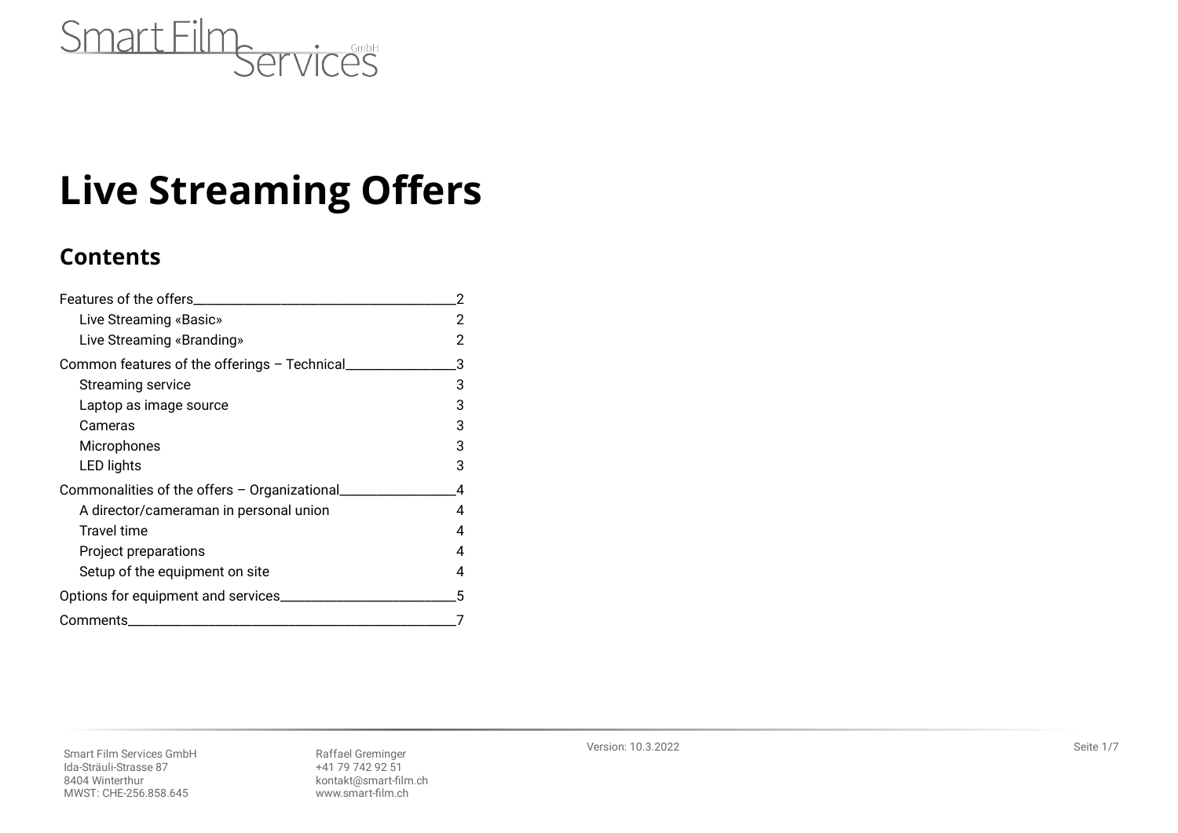

# **Live Streaming Offers**

# **Contents**

| Features of the offers                        |   |
|-----------------------------------------------|---|
| Live Streaming «Basic»                        |   |
| Live Streaming «Branding»                     |   |
| Common features of the offerings - Technical  | 3 |
| Streaming service                             | 3 |
| Laptop as image source                        | 3 |
| Cameras                                       | 3 |
| Microphones                                   | 3 |
| LED lights                                    | 3 |
| Commonalities of the offers - Organizational_ | Δ |
| A director/cameraman in personal union        | 4 |
| Travel time                                   |   |
| Project preparations                          | 4 |
| Setup of the equipment on site                | 4 |
| Options for equipment and services            | 5 |
| Comments                                      |   |

Version: 10.3.2022 Seite 1/7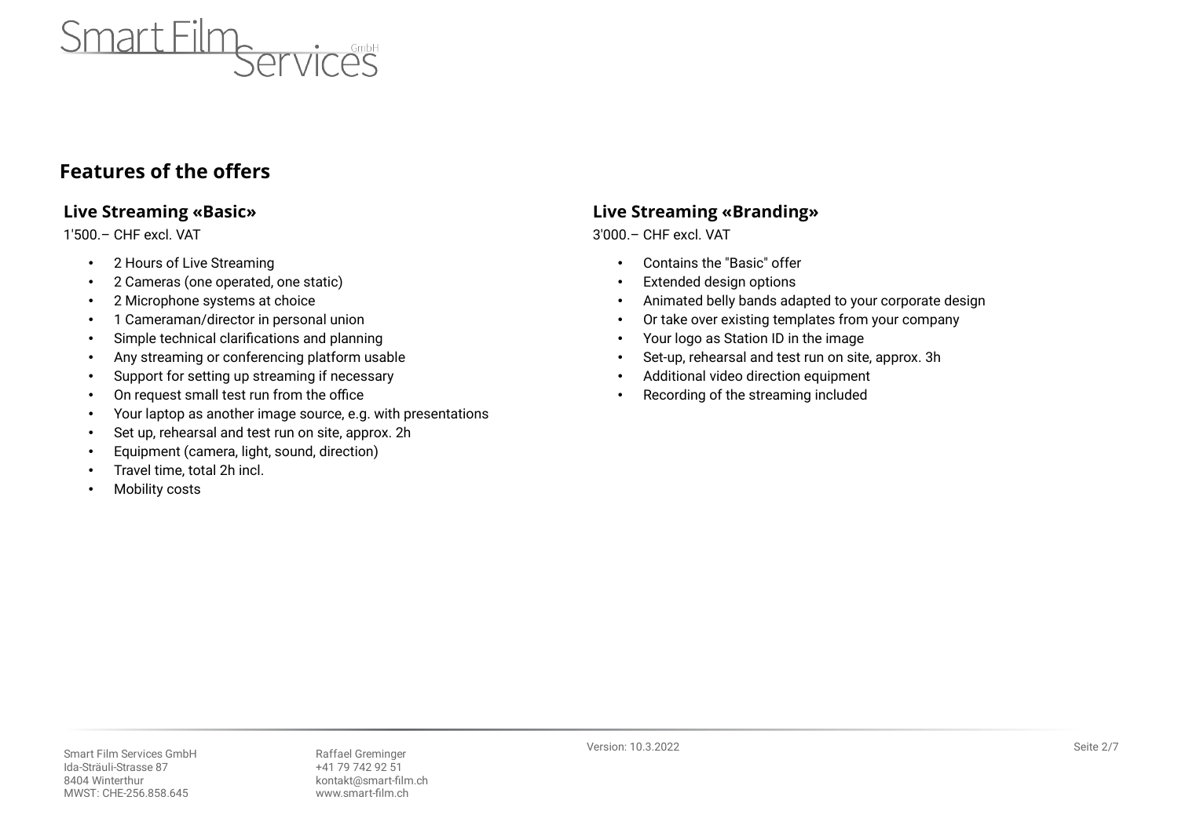

# <span id="page-1-0"></span>**Features of the offers**

### <span id="page-1-2"></span>**Live Streaming «Basic»**

1'500.– CHF excl. VAT

- 2 Hours of Live Streaming
- 2 Cameras (one operated, one static)
- 2 Microphone systems at choice
- 1 Cameraman/director in personal union
- Simple technical clarifications and planning
- Any streaming or conferencing platform usable
- Support for setting up streaming if necessary
- On request small test run from the office
- Your laptop as another image source, e.g. with presentations
- Set up, rehearsal and test run on site, approx. 2h
- Equipment (camera, light, sound, direction)
- Travel time, total 2h incl.
- **Mobility costs**

## <span id="page-1-1"></span>**Live Streaming «Branding»**

3'000.– CHF excl. VAT

- Contains the "Basic" offer
- Extended design options
- Animated belly bands adapted to your corporate design
- Or take over existing templates from your company
- Your logo as Station ID in the image
- Set-up, rehearsal and test run on site, approx. 3h
- Additional video direction equipment
- Recording of the streaming included

Smart Film Services GmbH Raffael Greminger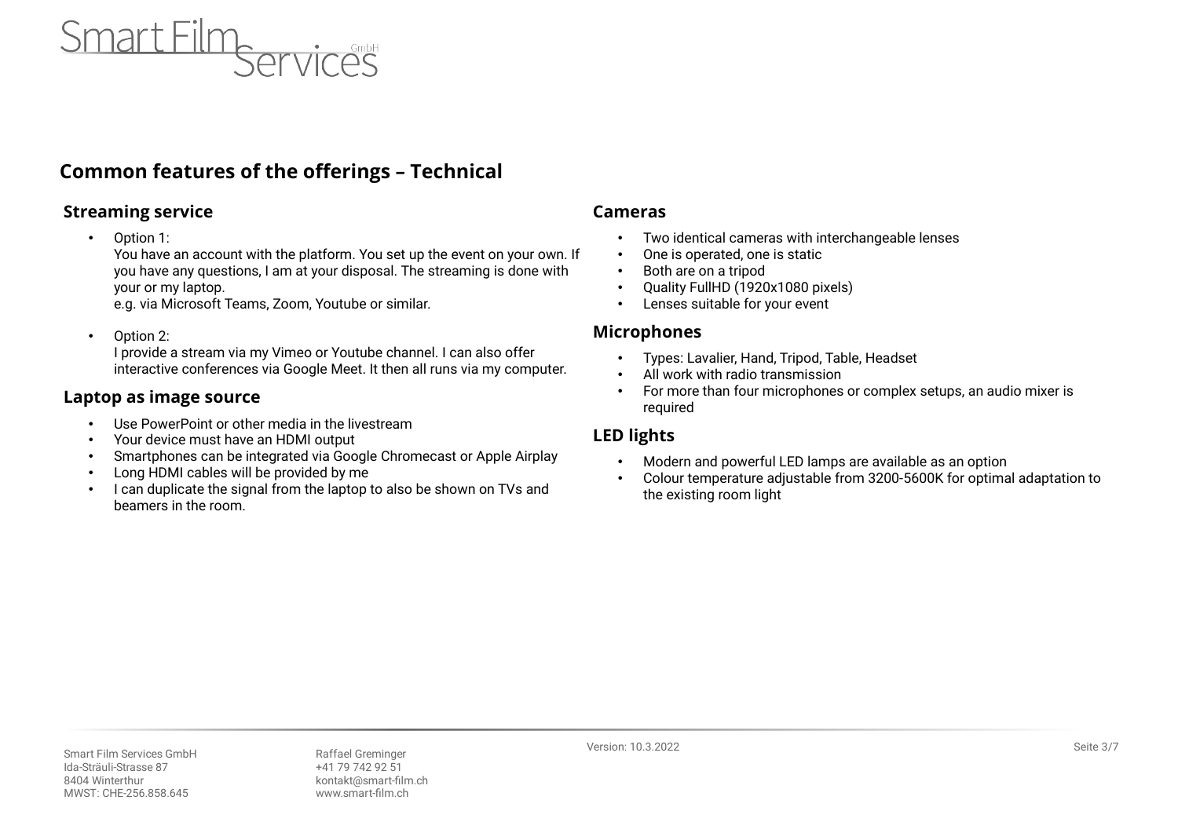

# <span id="page-2-5"></span>**Common features of the offerings – Technical**

#### <span id="page-2-4"></span>**Streaming service**

• Option 1:

You have an account with the platform. You set up the event on your own. If you have any questions, I am at your disposal. The streaming is done with your or my laptop.

e.g. via Microsoft Teams, Zoom, Youtube or similar.

• Option 2:

I provide a stream via my Vimeo or Youtube channel. I can also offer interactive conferences via Google Meet. It then all runs via my computer.

#### <span id="page-2-3"></span>**Laptop as image source**

- Use PowerPoint or other media in the livestream
- Your device must have an HDMI output
- Smartphones can be integrated via Google Chromecast or Apple Airplay
- Long HDMI cables will be provided by me
- I can duplicate the signal from the laptop to also be shown on TVs and beamers in the room.

#### <span id="page-2-2"></span>**Cameras**

- Two identical cameras with interchangeable lenses
- One is operated, one is static
- Both are on a tripod
- Quality FullHD (1920x1080 pixels)
- Lenses suitable for your event

#### <span id="page-2-1"></span>**Microphones**

- Types: Lavalier, Hand, Tripod, Table, Headset
- All work with radio transmission
- For more than four microphones or complex setups, an audio mixer is required

#### <span id="page-2-0"></span>**LED lights**

- Modern and powerful LED lamps are available as an option
- Colour temperature adjustable from 3200-5600K for optimal adaptation to the existing room light

Version: 10.3.2022 Seite 3/7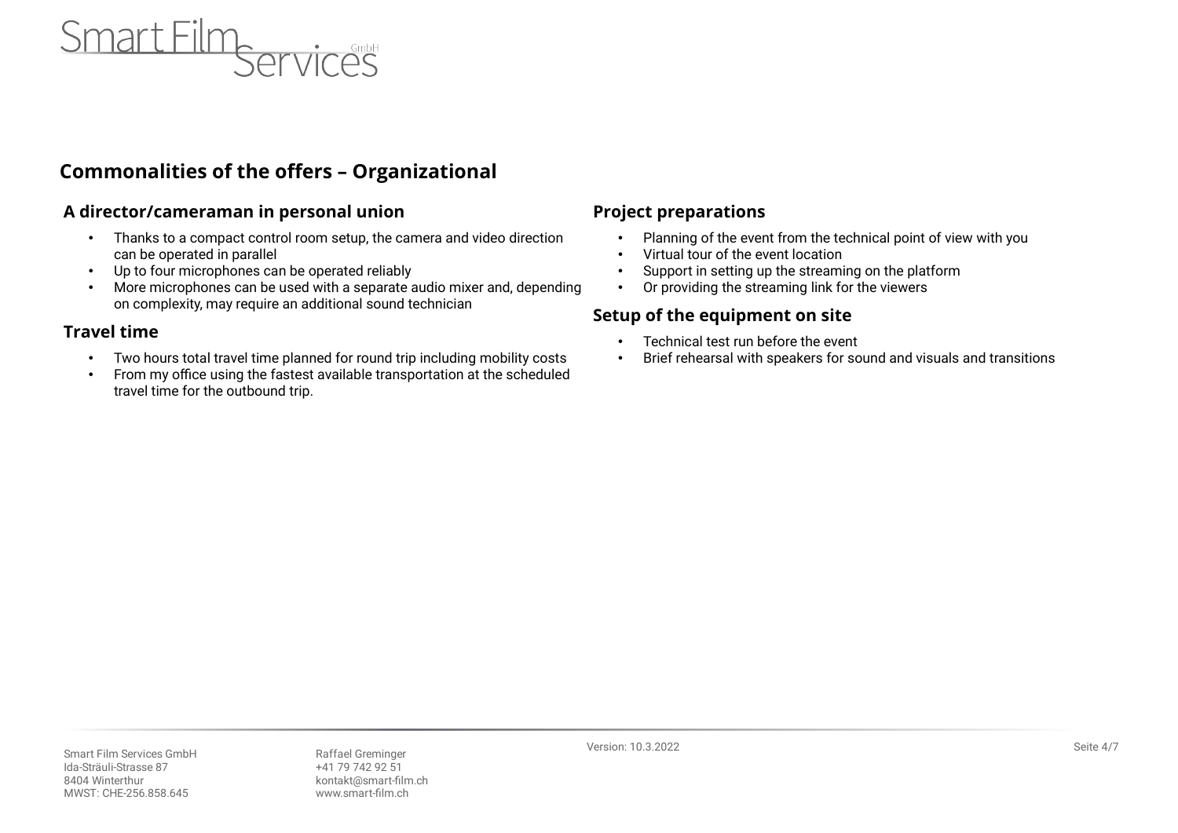

## <span id="page-3-4"></span>**Commonalities of the offers – Organizational**

#### <span id="page-3-3"></span>**A director/cameraman in personal union**

- Thanks to a compact control room setup, the camera and video direction can be operated in parallel
- Up to four microphones can be operated reliably
- More microphones can be used with a separate audio mixer and, depending on complexity, may require an additional sound technician

#### <span id="page-3-2"></span>**Travel time**

- Two hours total travel time planned for round trip including mobility costs
- From my office using the fastest available transportation at the scheduled travel time for the outbound trip.

#### <span id="page-3-1"></span>**Project preparations**

- Planning of the event from the technical point of view with you
- Virtual tour of the event location
- Support in setting up the streaming on the platform
- Or providing the streaming link for the viewers

## <span id="page-3-0"></span>**Setup of the equipment on site**

- Technical test run before the event
- Brief rehearsal with speakers for sound and visuals and transitions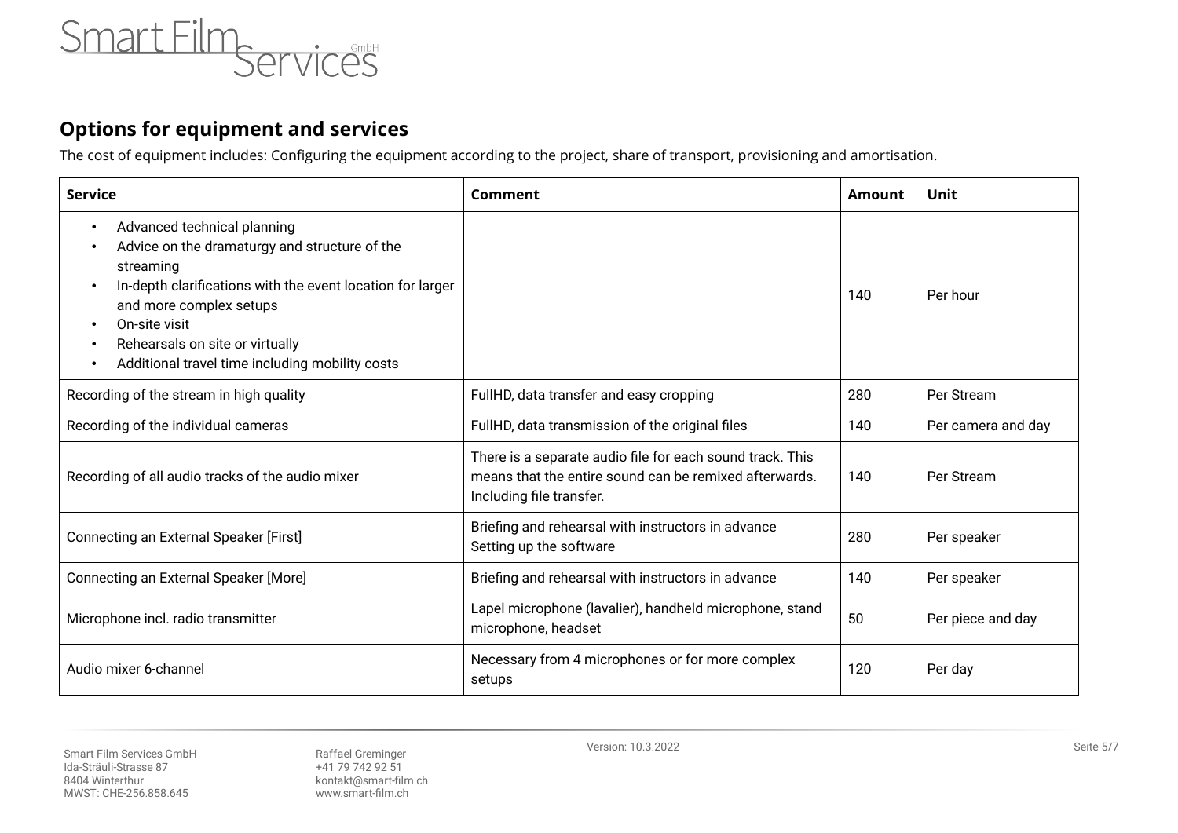

# <span id="page-4-0"></span>**Options for equipment and services**

The cost of equipment includes: Configuring the equipment according to the project, share of transport, provisioning and amortisation.

| <b>Service</b>                                                                                                                                                                                                                                                                                                                                                          | Comment                                                                                                                                         | <b>Amount</b> | Unit               |
|-------------------------------------------------------------------------------------------------------------------------------------------------------------------------------------------------------------------------------------------------------------------------------------------------------------------------------------------------------------------------|-------------------------------------------------------------------------------------------------------------------------------------------------|---------------|--------------------|
| Advanced technical planning<br>$\bullet$<br>Advice on the dramaturgy and structure of the<br>$\bullet$<br>streaming<br>In-depth clarifications with the event location for larger<br>$\bullet$<br>and more complex setups<br>On-site visit<br>$\bullet$<br>Rehearsals on site or virtually<br>$\bullet$<br>Additional travel time including mobility costs<br>$\bullet$ |                                                                                                                                                 | 140           | Per hour           |
| Recording of the stream in high quality                                                                                                                                                                                                                                                                                                                                 | FullHD, data transfer and easy cropping                                                                                                         | 280           | Per Stream         |
| Recording of the individual cameras                                                                                                                                                                                                                                                                                                                                     | FullHD, data transmission of the original files                                                                                                 | 140           | Per camera and day |
| Recording of all audio tracks of the audio mixer                                                                                                                                                                                                                                                                                                                        | There is a separate audio file for each sound track. This<br>means that the entire sound can be remixed afterwards.<br>Including file transfer. | 140           | Per Stream         |
| Connecting an External Speaker [First]                                                                                                                                                                                                                                                                                                                                  | Briefing and rehearsal with instructors in advance<br>Setting up the software                                                                   | 280           | Per speaker        |
| Connecting an External Speaker [More]                                                                                                                                                                                                                                                                                                                                   | Briefing and rehearsal with instructors in advance                                                                                              | 140           | Per speaker        |
| Microphone incl. radio transmitter                                                                                                                                                                                                                                                                                                                                      | Lapel microphone (lavalier), handheld microphone, stand<br>microphone, headset                                                                  | 50            | Per piece and day  |
| Audio mixer 6-channel                                                                                                                                                                                                                                                                                                                                                   | Necessary from 4 microphones or for more complex<br>setups                                                                                      | 120           | Per day            |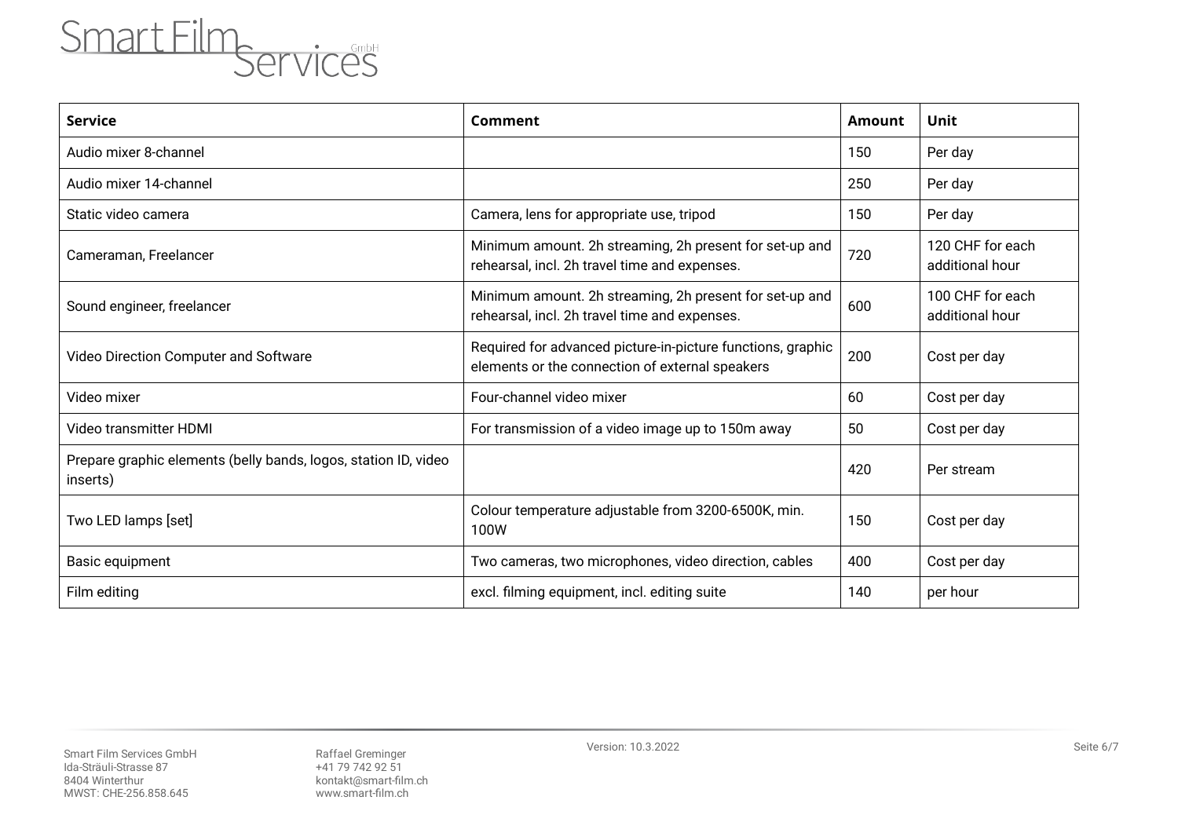

| <b>Service</b>                                                              | Comment                                                                                                        | <b>Amount</b> | Unit                                |
|-----------------------------------------------------------------------------|----------------------------------------------------------------------------------------------------------------|---------------|-------------------------------------|
| Audio mixer 8-channel                                                       |                                                                                                                | 150           | Per day                             |
| Audio mixer 14-channel                                                      |                                                                                                                | 250           | Per day                             |
| Static video camera                                                         | Camera, lens for appropriate use, tripod                                                                       | 150           | Per day                             |
| Cameraman, Freelancer                                                       | Minimum amount. 2h streaming, 2h present for set-up and<br>rehearsal, incl. 2h travel time and expenses.       | 720           | 120 CHF for each<br>additional hour |
| Sound engineer, freelancer                                                  | Minimum amount. 2h streaming, 2h present for set-up and<br>rehearsal, incl. 2h travel time and expenses.       | 600           | 100 CHF for each<br>additional hour |
| Video Direction Computer and Software                                       | Required for advanced picture-in-picture functions, graphic<br>elements or the connection of external speakers | 200           | Cost per day                        |
| Video mixer                                                                 | Four-channel video mixer                                                                                       | 60            | Cost per day                        |
| Video transmitter HDMI                                                      | For transmission of a video image up to 150m away                                                              | 50            | Cost per day                        |
| Prepare graphic elements (belly bands, logos, station ID, video<br>inserts) |                                                                                                                | 420           | Per stream                          |
| Two LED lamps [set]                                                         | Colour temperature adjustable from 3200-6500K, min.<br>100W                                                    | 150           | Cost per day                        |
| Basic equipment                                                             | Two cameras, two microphones, video direction, cables                                                          | 400           | Cost per day                        |
| Film editing                                                                | excl. filming equipment, incl. editing suite                                                                   | 140           | per hour                            |